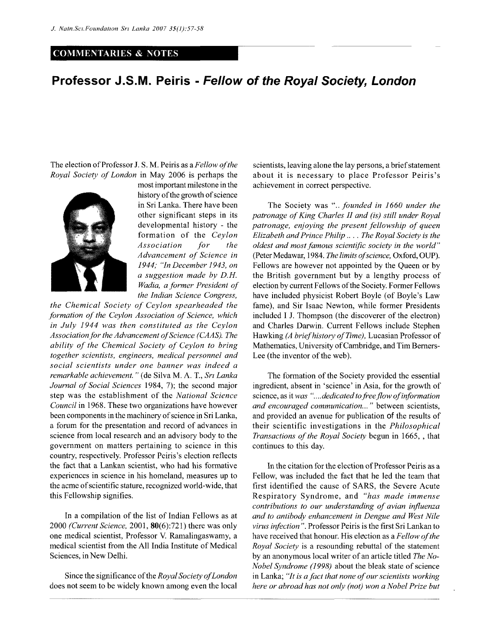## **COMMENTARIES & NOTES**

## **Professor J.S.M. Peiris - Fellow of the Royal Society, London**

The election of Professor J.S.M. Peiris as a *Fellow of the Royal Society of London* in May 2006 is perhaps the



most important milestone in the history of the growth of science in Sri Lanka. There have been other significant steps in its developmental history - the formation of the *Ceylon Association for the Advancement of Science in 1944; "In December 1943, on a suggestion made by D.H. Wadia, a former President of the Indian Science Congress,* 

*the Chemical Society of Ceylon spearheaded the formation of the Ceylon Association of Science, which in July 1944 was then constituted as the Ceylon Association for the Advancement of Science (CAAS). The ability of the Chemical Society of Ceylon to bring together scientists, engineers, medical personnel and social scientists under one banner was indeed a remarkable achievement. "* (de Silva M. A. T., *Sri Lanka Journal of Social Sciences* 1984, 7); the second major step was the establishment of the *National Science Council* in 1968. These two organizations have however been components in the machinery of science in Sri Lanka, a forum for the presentation and record of advances in science from local research and an advisory body to the government on matters pertaining to science in this country, respectively. Professor Peiris's election reflects the fact that a Lankan scientist, who had his formative experiences in science in his homeland, measures up to the acme ofscientific stature, recognized world-wide, that this Fellowship signifies.

In a compilation of the list of Indian Fellows as at 2000 *(Current Science,* 2001, 80(6):721) there was only one medical scientist, Professor V. Ramalingaswamy, a medical scientist from the All India Institute of Medical Sciences, in New Delhi.

Since the significance of the *Royal Society of London*  does not seem to be widely known among even the local scientists, leaving alone the lay persons, a brief statement about it is necessary to place Professor Peiris's achievement in correct perspective.

The Society was ".. *founded in 1660 under the patronage of King Charles II and (is) still under Royal patronage, enjoying the present fellowship of queen Elizabeth and Prince Philip* .... *The Royal Society is the oldest and most famous scientific society in the world\*'*  (Peter Medawar, 1984. *The limits of science,* Oxford, OUP). Fellows are however not appointed by the Queen or by the British government but by a lengthy process of election by current Fellows of the Society. Former Fellows have included physicist Robert Boyle (of Boyle's Law fame), and Sir Isaac Newton, while former Presidents included I J. Thompson (the discoverer of the electron) and Charles Darwin. Current Fellows include Stephen Hawking *(A brief history of Time),* Lucasian Professor of Mathematics, University of Cambridge, and Tim Berners-Lee (the inventor of the web).

The formation of the Society provided the essential ingredient, absent in 'science' in Asia, for the growth of science, as it *was "....dedicated to free flow of information and encouraged communication... "* between scientists, and provided an avenue for publication of the results of their scientific investigations in the *Philosophical Transactions of the Royal Society* begun in 1665, , that continues to this day.

In the citation for the election of Professor Peiris as a Fellow, was included the fact that he led the team that first identified the cause of SARS, the Severe Acute Respiratory Syndrome, and *"has made immense contributions to our understanding of avian influenza and to antibody enhancement in Dengue and West Nile virus infection ".* Professor Peiris is the first Sri Lankan to have received that honour. His election as a *Fellow of the Royal Society* is a resounding rebuttal of the statement by an anonymous local writer of an article titled *The No-Nobel Syndrome (1998)* about the bleak state of science in Lanka; *"It is a fact that none of our scientists working here or abroad has not only (not) won a Nobel Prize but*